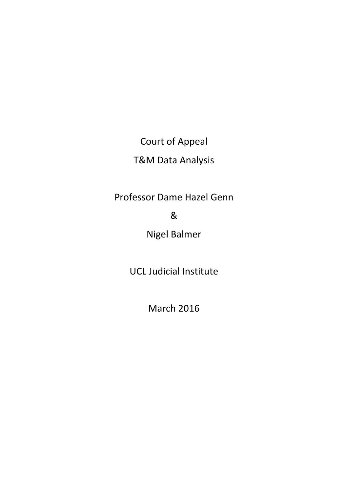Court of Appeal

# T&M Data Analysis

Professor Dame Hazel Genn

&

Nigel Balmer

UCL Judicial Institute

March 2016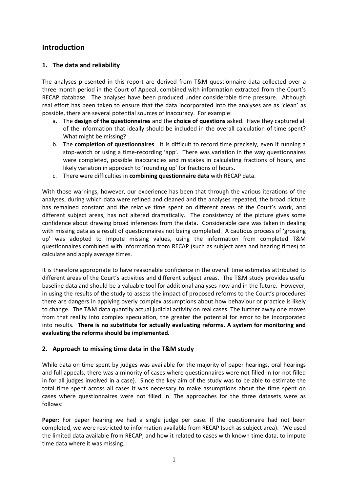## **Introduction**

### **1. The data and reliability**

The analyses presented in this report are derived from T&M questionnaire data collected over a three month period in the Court of Appeal, combined with information extracted from the Court's RECAP database. The analyses have been produced under considerable time pressure. Although real effort has been taken to ensure that the data incorporated into the analyses are as 'clean' as possible, there are several potential sources of inaccuracy. For example:

- a. The **design of the questionnaires** and the **choice of questions** asked. Have they captured all of the information that ideally should be included in the overall calculation of time spent? What might be missing?
- b. The **completion of questionnaires**. It is difficult to record time precisely, even if running a stop-watch or using a time-recording 'app'. There was variation in the way questionnaires were completed, possible inaccuracies and mistakes in calculating fractions of hours, and likely variation in approach to 'rounding up' for fractions of hours.
- c. There were difficulties in **combining questionnaire data** with RECAP data.

With those warnings, however, our experience has been that through the various iterations of the analyses, during which data were refined and cleaned and the analyses repeated, the broad picture has remained constant and the relative time spent on different areas of the Court's work, and different subject areas, has not altered dramatically. The consistency of the picture gives some confidence about drawing broad inferences from the data. Considerable care was taken in dealing with missing data as a result of questionnaires not being completed. A cautious process of 'grossing up' was adopted to impute missing values, using the information from completed T&M questionnaires combined with information from RECAP (such as subject area and hearing times) to calculate and apply average times.

It is therefore appropriate to have reasonable confidence in the overall time estimates attributed to different areas of the Court's activities and different subject areas. The T&M study provides useful baseline data and should be a valuable tool for additional analyses now and in the future. However, in using the results of the study to assess the impact of proposed reforms to the Court's procedures there are dangers in applying overly complex assumptions about how behaviour or practice is likely to change. The T&M data quantify actual judicial activity on real cases. The further away one moves from that reality into complex speculation, the greater the potential for error to be incorporated into results. **There is no substitute for actually evaluating reforms. A system for monitoring and evaluating the reforms should be implemented.** 

### **2. Approach to missing time data in the T&M study**

While data on time spent by judges was available for the majority of paper hearings, oral hearings and full appeals, there was a minority of cases where questionnaires were not filled in (or not filled in for all judges involved in a case). Since the key aim of the study was to be able to estimate the total time spent across all cases it was necessary to make assumptions about the time spent on cases where questionnaires were not filled in. The approaches for the three datasets were as follows:

Paper: For paper hearing we had a single judge per case. If the questionnaire had not been completed, we were restricted to information available from RECAP (such as subject area). We used the limited data available from RECAP, and how it related to cases with known time data, to impute time data where it was missing.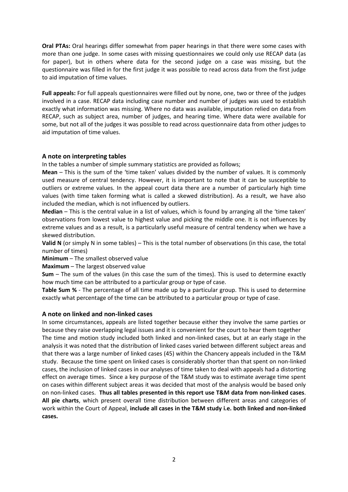**Oral PTAs:** Oral hearings differ somewhat from paper hearings in that there were some cases with more than one judge. In some cases with missing questionnaires we could only use RECAP data (as for paper), but in others where data for the second judge on a case was missing, but the questionnaire was filled in for the first judge it was possible to read across data from the first judge to aid imputation of time values.

**Full appeals:** For full appeals questionnaires were filled out by none, one, two or three of the judges involved in a case. RECAP data including case number and number of judges was used to establish exactly what information was missing. Where no data was available, imputation relied on data from RECAP, such as subject area, number of judges, and hearing time. Where data were available for some, but not all of the judges it was possible to read across questionnaire data from other judges to aid imputation of time values.

#### **A note on interpreting tables**

In the tables a number of simple summary statistics are provided as follows;

**Mean** – This is the sum of the 'time taken' values divided by the number of values. It is commonly used measure of central tendency. However, it is important to note that it can be susceptible to outliers or extreme values. In the appeal court data there are a number of particularly high time values (with time taken forming what is called a skewed distribution). As a result, we have also included the median, which is not influenced by outliers.

**Median** – This is the central value in a list of values, which is found by arranging all the 'time taken' observations from lowest value to highest value and picking the middle one. It is not influences by extreme values and as a result, is a particularly useful measure of central tendency when we have a skewed distribution.

**Valid N** (or simply N in some tables) – This is the total number of observations (in this case, the total number of times)

**Minimum** – The smallest observed value

**Maximum** – The largest observed value

**Sum** – The sum of the values (in this case the sum of the times). This is used to determine exactly how much time can be attributed to a particular group or type of case.

**Table Sum %** - The percentage of all time made up by a particular group. This is used to determine exactly what percentage of the time can be attributed to a particular group or type of case.

#### **A note on linked and non-linked cases**

In some circumstances, appeals are listed together because either they involve the same parties or because they raise overlapping legal issues and it is convenient for the court to hear them together The time and motion study included both linked and non-linked cases, but at an early stage in the analysis it was noted that the distribution of linked cases varied between different subject areas and that there was a large number of linked cases (45) within the Chancery appeals included in the T&M study. Because the time spent on linked cases is considerably shorter than that spent on non-linked cases, the inclusion of linked cases in our analyses of time taken to deal with appeals had a distorting effect on average times. Since a key purpose of the T&M study was to estimate average time spent on cases within different subject areas it was decided that most of the analysis would be based only on non-linked cases. **Thus all tables presented in this report use T&M data from non-linked cases**. **All pie charts**, which present overall time distribution between different areas and categories of work within the Court of Appeal, **include all cases in the T&M study i.e. both linked and non-linked cases.**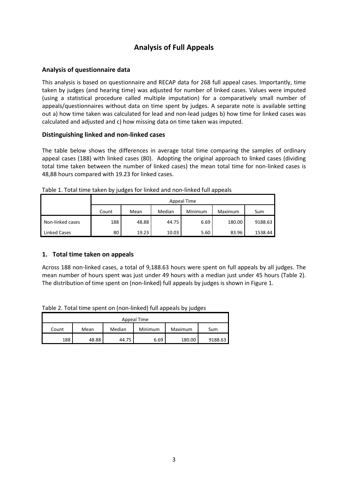# **Analysis of Full Appeals**

### **Analysis of questionnaire data**

This analysis is based on questionnaire and RECAP data for 268 full appeal cases. Importantly, time taken by judges (and hearing time) was adjusted for number of linked cases. Values were imputed (using a statistical procedure called multiple imputation) for a comparatively small number of appeals/questionnaires without data on time spent by judges. A separate note is available setting out a) how time taken was calculated for lead and non-lead judges b) how time for linked cases was calculated and adjusted and c) how missing data on time taken was imputed.

### **Distinguishing linked and non-linked cases**

The table below shows the differences in average total time comparing the samples of ordinary appeal cases (188) with linked cases (80). Adopting the original approach to linked cases (dividing total time taken between the number of linked cases) the mean total time for non-linked cases is 48,88 hours compared with 19.23 for linked cases.

|                  | Appeal Time |       |        |         |         |         |  |  |  |  |  |
|------------------|-------------|-------|--------|---------|---------|---------|--|--|--|--|--|
|                  | Count       | Mean  | Median | Minimum | Maximum | Sum     |  |  |  |  |  |
| Non-linked cases | 188         | 48.88 | 44.75  | 6.69    | 180.00  | 9188.63 |  |  |  |  |  |
| Linked Cases     | 80          | 19.23 | 10.03  | 5.60    | 83.96   | 1538.44 |  |  |  |  |  |

Table 1. Total time taken by judges for linked and non-linked full appeals

### **1. Total time taken on appeals**

Across 188 non-linked cases, a total of 9,188.63 hours were spent on full appeals by all judges. The mean number of hours spent was just under 49 hours with a median just under 45 hours (Table 2). The distribution of time spent on (non-linked) full appeals by judges is shown in Figure 1.

Table 2. Total time spent on (non-linked) full appeals by judges

| Appeal Time                                          |       |       |      |        |         |  |  |  |  |  |
|------------------------------------------------------|-------|-------|------|--------|---------|--|--|--|--|--|
| Median<br>Minimum<br>Maximum<br>Mean<br>Sum<br>Count |       |       |      |        |         |  |  |  |  |  |
| 188                                                  | 48.88 | 44.75 | 6.69 | 180.00 | 9188.63 |  |  |  |  |  |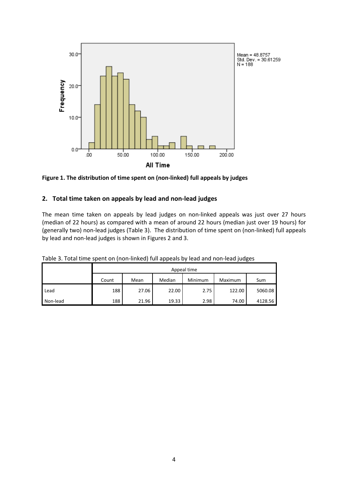

**Figure 1. The distribution of time spent on (non-linked) full appeals by judges** 

### **2. Total time taken on appeals by lead and non-lead judges**

The mean time taken on appeals by lead judges on non-linked appeals was just over 27 hours (median of 22 hours) as compared with a mean of around 22 hours (median just over 19 hours) for (generally two) non-lead judges (Table 3). The distribution of time spent on (non-linked) full appeals by lead and non-lead judges is shown in Figures 2 and 3.

|          | Appeal time |       |        |         |         |         |  |  |  |  |  |
|----------|-------------|-------|--------|---------|---------|---------|--|--|--|--|--|
|          | Count       | Mean  | Median | Minimum | Maximum | Sum     |  |  |  |  |  |
| Lead     | 188         | 27.06 | 22.00  | 2.75    | 122.00  | 5060.08 |  |  |  |  |  |
| Non-lead | 188         | 21.96 | 19.33  | 2.98    | 74.00   | 4128.56 |  |  |  |  |  |

Table 3. Total time spent on (non-linked) full appeals by lead and non-lead judges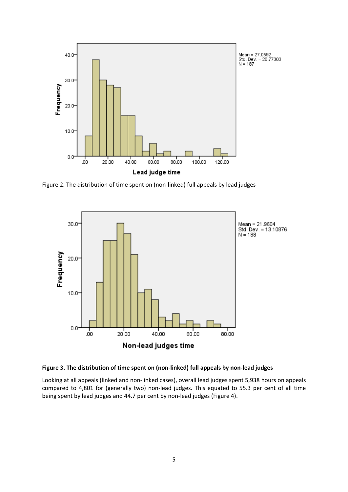

Figure 2. The distribution of time spent on (non-linked) full appeals by lead judges





Looking at all appeals (linked and non-linked cases), overall lead judges spent 5,938 hours on appeals compared to 4,801 for (generally two) non-lead judges. This equated to 55.3 per cent of all time being spent by lead judges and 44.7 per cent by non-lead judges (Figure 4).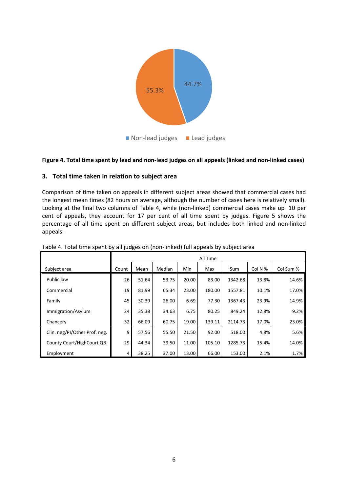

#### **Figure 4. Total time spent by lead and non-lead judges on all appeals (linked and non-linked cases)**

#### **3. Total time taken in relation to subject area**

Comparison of time taken on appeals in different subject areas showed that commercial cases had the longest mean times (82 hours on average, although the number of cases here is relatively small). Looking at the final two columns of Table 4, while (non-linked) commercial cases make up 10 per cent of appeals, they account for 17 per cent of all time spent by judges. Figure 5 shows the percentage of all time spent on different subject areas, but includes both linked and non-linked appeals.

|                               |       | All Time |        |       |        |         |         |           |  |  |  |  |
|-------------------------------|-------|----------|--------|-------|--------|---------|---------|-----------|--|--|--|--|
| Subject area                  | Count | Mean     | Median | Min   | Max    | Sum     | Col N % | Col Sum % |  |  |  |  |
| Public law                    | 26    | 51.64    | 53.75  | 20.00 | 83.00  | 1342.68 | 13.8%   | 14.6%     |  |  |  |  |
| Commercial                    | 19    | 81.99    | 65.34  | 23.00 | 180.00 | 1557.81 | 10.1%   | 17.0%     |  |  |  |  |
| Family                        | 45    | 30.39    | 26.00  | 6.69  | 77.30  | 1367.43 | 23.9%   | 14.9%     |  |  |  |  |
| Immigration/Asylum            | 24    | 35.38    | 34.63  | 6.75  | 80.25  | 849.24  | 12.8%   | 9.2%      |  |  |  |  |
| Chancery                      | 32    | 66.09    | 60.75  | 19.00 | 139.11 | 2114.73 | 17.0%   | 23.0%     |  |  |  |  |
| Clin. neg/PI/Other Prof. neg. | 9     | 57.56    | 55.50  | 21.50 | 92.00  | 518.00  | 4.8%    | 5.6%      |  |  |  |  |
| County Court/HighCourt QB     | 29    | 44.34    | 39.50  | 11.00 | 105.10 | 1285.73 | 15.4%   | 14.0%     |  |  |  |  |
| Employment                    | 4     | 38.25    | 37.00  | 13.00 | 66.00  | 153.00  | 2.1%    | 1.7%      |  |  |  |  |

Table 4. Total time spent by all judges on (non-linked) full appeals by subject area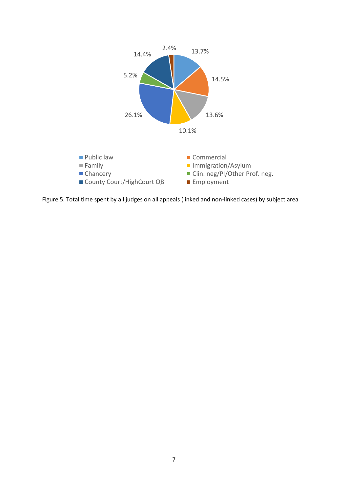

Figure 5. Total time spent by all judges on all appeals (linked and non-linked cases) by subject area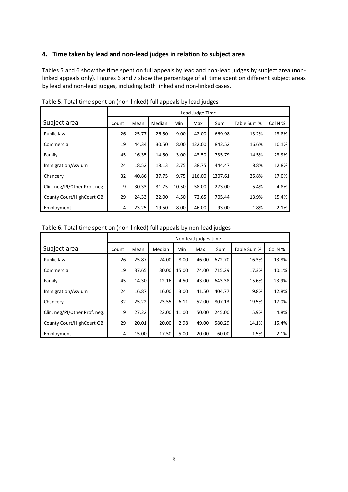### **4. Time taken by lead and non-lead judges in relation to subject area**

Tables 5 and 6 show the time spent on full appeals by lead and non-lead judges by subject area (nonlinked appeals only). Figures 6 and 7 show the percentage of all time spent on different subject areas by lead and non-lead judges, including both linked and non-linked cases.

|                               |       |       |               |       | Lead Judge Time |         |             |         |
|-------------------------------|-------|-------|---------------|-------|-----------------|---------|-------------|---------|
| Subject area                  | Count | Mean  | <b>Median</b> | Min   | Max             | Sum     | Table Sum % | Col N % |
| Public law                    | 26    | 25.77 | 26.50         | 9.00  | 42.00           | 669.98  | 13.2%       | 13.8%   |
| Commercial                    | 19    | 44.34 | 30.50         | 8.00  | 122.00          | 842.52  | 16.6%       | 10.1%   |
| Family                        | 45    | 16.35 | 14.50         | 3.00  | 43.50           | 735.79  | 14.5%       | 23.9%   |
| Immigration/Asylum            | 24    | 18.52 | 18.13         | 2.75  | 38.75           | 444.47  | 8.8%        | 12.8%   |
| Chancery                      | 32    | 40.86 | 37.75         | 9.75  | 116.00          | 1307.61 | 25.8%       | 17.0%   |
| Clin. neg/PI/Other Prof. neg. | 9     | 30.33 | 31.75         | 10.50 | 58.00           | 273.00  | 5.4%        | 4.8%    |
| County Court/HighCourt QB     | 29    | 24.33 | 22.00         | 4.50  | 72.65           | 705.44  | 13.9%       | 15.4%   |
| Employment                    | 4     | 23.25 | 19.50         | 8.00  | 46.00           | 93.00   | 1.8%        | 2.1%    |

Table 5. Total time spent on (non-linked) full appeals by lead judges

#### Table 6. Total time spent on (non-linked) full appeals by non-lead judges

|                               |       | Non-lead judges time |        |       |       |        |             |         |  |  |  |  |  |  |
|-------------------------------|-------|----------------------|--------|-------|-------|--------|-------------|---------|--|--|--|--|--|--|
| Subject area                  | Count | Mean                 | Median | Min   | Max   | Sum    | Table Sum % | Col N % |  |  |  |  |  |  |
| Public law                    | 26    | 25.87                | 24.00  | 8.00  | 46.00 | 672.70 | 16.3%       | 13.8%   |  |  |  |  |  |  |
| Commercial                    | 19    | 37.65                | 30.00  | 15.00 | 74.00 | 715.29 | 17.3%       | 10.1%   |  |  |  |  |  |  |
| Family                        | 45    | 14.30                | 12.16  | 4.50  | 43.00 | 643.38 | 15.6%       | 23.9%   |  |  |  |  |  |  |
| Immigration/Asylum            | 24    | 16.87                | 16.00  | 3.00  | 41.50 | 404.77 | 9.8%        | 12.8%   |  |  |  |  |  |  |
| Chancery                      | 32    | 25.22                | 23.55  | 6.11  | 52.00 | 807.13 | 19.5%       | 17.0%   |  |  |  |  |  |  |
| Clin. neg/PI/Other Prof. neg. | 9     | 27.22                | 22.00  | 11.00 | 50.00 | 245.00 | 5.9%        | 4.8%    |  |  |  |  |  |  |
| County Court/HighCourt QB     | 29    | 20.01                | 20.00  | 2.98  | 49.00 | 580.29 | 14.1%       | 15.4%   |  |  |  |  |  |  |
| Employment                    | 4     | 15.00                | 17.50  | 5.00  | 20.00 | 60.00  | 1.5%        | 2.1%    |  |  |  |  |  |  |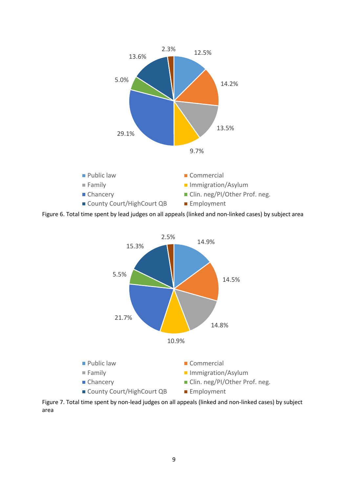

Figure 6. Total time spent by lead judges on all appeals (linked and non-linked cases) by subject area



Figure 7. Total time spent by non-lead judges on all appeals (linked and non-linked cases) by subject area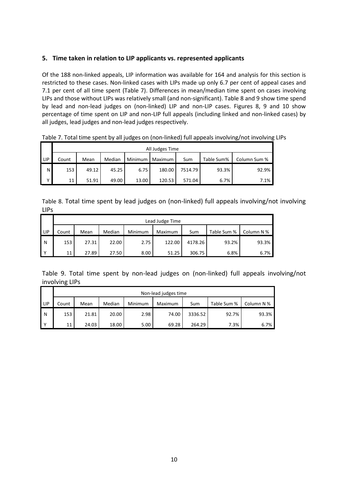### **5. Time taken in relation to LIP applicants vs. represented applicants**

Of the 188 non-linked appeals, LIP information was available for 164 and analysis for this section is restricted to these cases. Non-linked cases with LIPs made up only 6.7 per cent of appeal cases and 7.1 per cent of all time spent (Table 7). Differences in mean/median time spent on cases involving LIPs and those without LIPs was relatively small (and non-significant). Table 8 and 9 show time spend by lead and non-lead judges on (non-linked) LIP and non-LIP cases. Figures 8, 9 and 10 show percentage of time spent on LIP and non-LIP full appeals (including linked and non-linked cases) by all judges, lead judges and non-lead judges respectively.

|     |       | All Judges Time |        |         |         |         |            |              |  |  |  |  |
|-----|-------|-----------------|--------|---------|---------|---------|------------|--------------|--|--|--|--|
| LIP | Count | Mean            | Median | Minimum | Maximum | Sum     | Table Sum% | Column Sum % |  |  |  |  |
| N   | 153   | 49.12           | 45.25  | 6.75    | 180.00  | 7514.79 | 93.3%      | 92.9%        |  |  |  |  |
| v   | 11    | 51.91           | 49.00  | 13.00   | 120.53  | 571.04  | 6.7%       | 7.1%         |  |  |  |  |

Table 7. Total time spent by all judges on (non-linked) full appeals involving/not involving LIPs

Table 8. Total time spent by lead judges on (non-linked) full appeals involving/not involving LIPs

|                |       | Lead Judge Time |        |         |         |         |             |            |  |  |  |  |
|----------------|-------|-----------------|--------|---------|---------|---------|-------------|------------|--|--|--|--|
| I LIP          | Count | Mean            | Median | Minimum | Maximum | Sum     | Table Sum % | Column N % |  |  |  |  |
| l N            | 153   | 27.31           | 22.00  | 2.75    | 122.00  | 4178.26 | 93.2%       | 93.3%      |  |  |  |  |
| $\mathbf{I}$ Y | 11    | 27.89           | 27.50  | 8.00    | 51.25   | 306.75  | 6.8%        | 6.7%       |  |  |  |  |

Table 9. Total time spent by non-lead judges on (non-linked) full appeals involving/not involving LIPs

|                |       | Non-lead judges time |        |         |         |         |             |            |  |  |  |  |
|----------------|-------|----------------------|--------|---------|---------|---------|-------------|------------|--|--|--|--|
| LIP            | Count | Mean                 | Median | Minimum | Maximum | Sum     | Table Sum % | Column N % |  |  |  |  |
| IN.            | 153   | 21.81                | 20.00  | 2.98    | 74.00   | 3336.52 | 92.7%       | 93.3%      |  |  |  |  |
| $\mathsf{I}$ Y | 11    | 24.03                | 18.00  | 5.00    | 69.28   | 264.29  | 7.3%        | 6.7%       |  |  |  |  |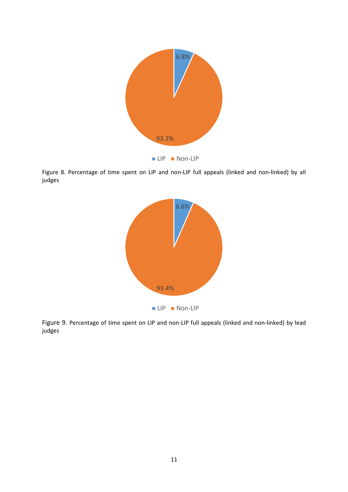

Figure 8. Percentage of time spent on LIP and non-LIP full appeals (linked and non-linked) by all judges



Figure 9. Percentage of time spent on LIP and non-LIP full appeals (linked and non-linked) by lead judges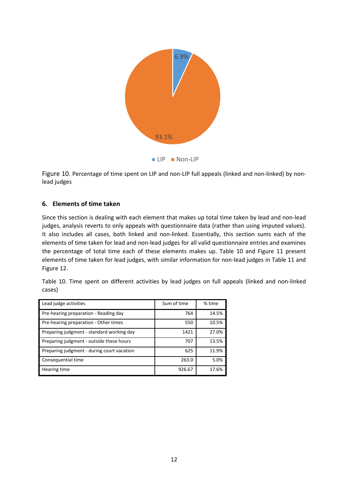

Figure 10. Percentage of time spent on LIP and non-LIP full appeals (linked and non-linked) by nonlead judges

### **6. Elements of time taken**

Since this section is dealing with each element that makes up total time taken by lead and non-lead judges, analysis reverts to only appeals with questionnaire data (rather than using imputed values). It also includes all cases, both linked and non-linked. Essentially, this section sums each of the elements of time taken for lead and non-lead judges for all valid questionnaire entries and examines the percentage of total time each of these elements makes up. Table 10 and Figure 11 present elements of time taken for lead judges, with similar information for non-lead judges in Table 11 and Figure 12.

|        | Table 10. Time spent on different activities by lead judges on full appeals (linked and non-linked |  |  |  |  |  |  |
|--------|----------------------------------------------------------------------------------------------------|--|--|--|--|--|--|
| cases) |                                                                                                    |  |  |  |  |  |  |

| Lead judge activities                      | Sum of time | % time |
|--------------------------------------------|-------------|--------|
| Pre-hearing preparation - Reading day      | 764         | 14.5%  |
| Pre-hearing preparation - Other times      | 550         | 10.5%  |
| Preparing judgment - standard working day  | 1421        | 27.0%  |
| Preparing judgment - outside these hours   | 707         | 13.5%  |
| Preparing judgment - during court vacation | 625         | 11.9%  |
| Consequential time                         | 263.0       | 5.0%   |
| Hearing time                               | 926.67      | 17.6%  |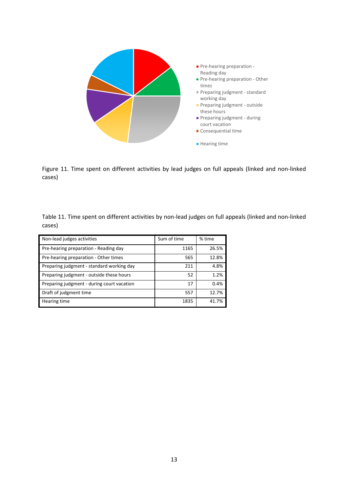

Figure 11. Time spent on different activities by lead judges on full appeals (linked and non-linked cases)

Table 11. Time spent on different activities by non-lead judges on full appeals (linked and non-linked cases)

| Non-lead judges activities                 | Sum of time | % time |
|--------------------------------------------|-------------|--------|
| Pre-hearing preparation - Reading day      | 1165        | 26.5%  |
| Pre-hearing preparation - Other times      | 565         | 12.8%  |
| Preparing judgment - standard working day  | 211         | 4.8%   |
| Preparing judgment - outside these hours   | 52          | 1.2%   |
| Preparing judgment - during court vacation | 17          | 0.4%   |
| Draft of judgment time                     | 557         | 12.7%  |
| Hearing time                               | 1835        | 41.7%  |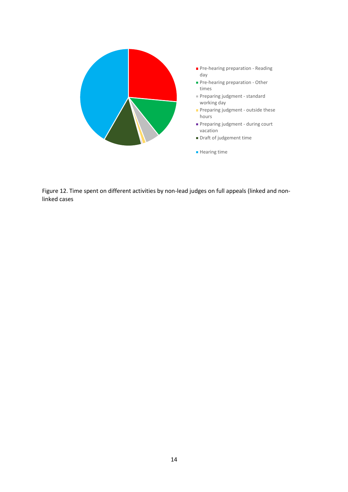

- Pre-hearing preparation Reading day
- Pre-hearing preparation Other times
- Preparing judgment standard working day
- Preparing judgment outside these hours
- **Preparing judgment during court** vacation
- Draft of judgement time
- **Hearing time**

Figure 12. Time spent on different activities by non-lead judges on full appeals (linked and nonlinked cases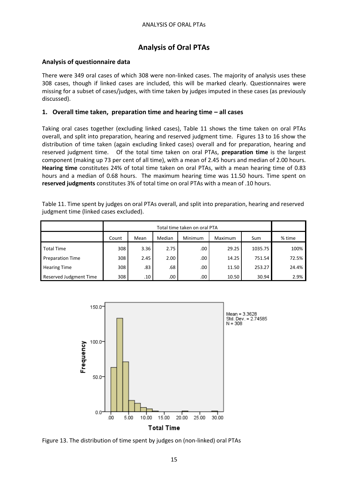# **Analysis of Oral PTAs**

### **Analysis of questionnaire data**

There were 349 oral cases of which 308 were non-linked cases. The majority of analysis uses these 308 cases, though if linked cases are included, this will be marked clearly. Questionnaires were missing for a subset of cases/judges, with time taken by judges imputed in these cases (as previously discussed).

### **1. Overall time taken, preparation time and hearing time – all cases**

Taking oral cases together (excluding linked cases), Table 11 shows the time taken on oral PTAs overall, and split into preparation, hearing and reserved judgment time. Figures 13 to 16 show the distribution of time taken (again excluding linked cases) overall and for preparation, hearing and reserved judgment time. Of the total time taken on oral PTAs, **preparation time** is the largest component (making up 73 per cent of all time), with a mean of 2.45 hours and median of 2.00 hours. **Hearing time** constitutes 24% of total time taken on oral PTAs, with a mean hearing time of 0.83 hours and a median of 0.68 hours. The maximum hearing time was 11.50 hours. Time spent on **reserved judgments** constitutes 3% of total time on oral PTAs with a mean of .10 hours.

| Table 11. Time spent by judges on oral PTAs overall, and split into preparation, hearing and reserved |  |
|-------------------------------------------------------------------------------------------------------|--|
| judgment time (linked cases excluded).                                                                |  |

|                         |       |                                             |      | Total time taken on oral PTA |       |         |       |  |  |  |  |
|-------------------------|-------|---------------------------------------------|------|------------------------------|-------|---------|-------|--|--|--|--|
|                         | Count | Median<br>Minimum<br>Maximum<br>Mean<br>Sum |      |                              |       |         |       |  |  |  |  |
| <b>Total Time</b>       | 308   | 3.36                                        | 2.75 | .00                          | 29.25 | 1035.75 | 100%  |  |  |  |  |
| <b>Preparation Time</b> | 308   | 2.45                                        | 2.00 | $.00\,$                      | 14.25 | 751.54  | 72.5% |  |  |  |  |
| <b>Hearing Time</b>     | 308   | .83                                         | .68  | .00                          | 11.50 | 253.27  | 24.4% |  |  |  |  |
| Reserved Judgment Time  | 308   | .10                                         | .00  | .00                          | 10.50 | 30.94   | 2.9%  |  |  |  |  |



Figure 13. The distribution of time spent by judges on (non-linked) oral PTAs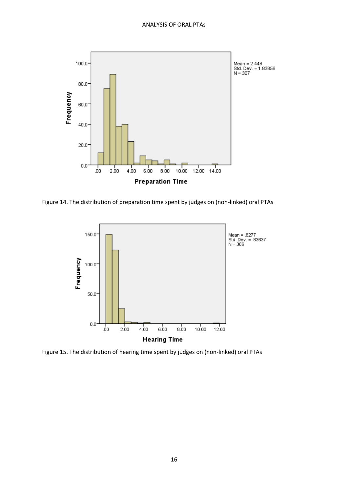

Figure 14. The distribution of preparation time spent by judges on (non-linked) oral PTAs



Figure 15. The distribution of hearing time spent by judges on (non-linked) oral PTAs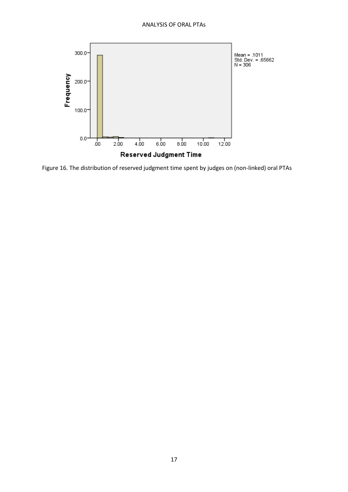

Figure 16. The distribution of reserved judgment time spent by judges on (non-linked) oral PTAs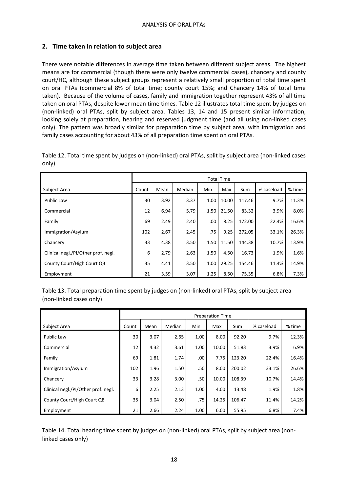### **2. Time taken in relation to subject area**

There were notable differences in average time taken between different subject areas. The highest means are for commercial (though there were only twelve commercial cases), chancery and county court/HC, although these subject groups represent a relatively small proportion of total time spent on oral PTAs (commercial 8% of total time; county court 15%; and Chancery 14% of total time taken). Because of the volume of cases, family and immigration together represent 43% of all time taken on oral PTAs, despite lower mean time times. Table 12 illustrates total time spent by judges on (non-linked) oral PTAs, split by subject area. Tables 13, 14 and 15 present similar information, looking solely at preparation, hearing and reserved judgment time (and all using non-linked cases only). The pattern was broadly similar for preparation time by subject area, with immigration and family cases accounting for about 43% of all preparation time spent on oral PTAs.

|                                     |       |      |        |      | <b>Total Time</b> |        |            |        |
|-------------------------------------|-------|------|--------|------|-------------------|--------|------------|--------|
| Subject Area                        | Count | Mean | Median | Min  | Max               | Sum    | % caseload | % time |
| <b>Public Law</b>                   | 30    | 3.92 | 3.37   | 1.00 | 10.00             | 117.46 | 9.7%       | 11.3%  |
| Commercial                          | 12    | 6.94 | 5.79   | 1.50 | 21.50             | 83.32  | 3.9%       | 8.0%   |
| Family                              | 69    | 2.49 | 2.40   | .00  | 8.25              | 172.00 | 22.4%      | 16.6%  |
| Immigration/Asylum                  | 102   | 2.67 | 2.45   | .75  | 9.25              | 272.05 | 33.1%      | 26.3%  |
| Chancery                            | 33    | 4.38 | 3.50   | 1.50 | 11.50             | 144.38 | 10.7%      | 13.9%  |
| Clinical negl./PI/Other prof. negl. | 6     | 2.79 | 2.63   | 1.50 | 4.50              | 16.73  | 1.9%       | 1.6%   |
| County Court/High Court QB          | 35    | 4.41 | 3.50   | 1.00 | 29.25             | 154.46 | 11.4%      | 14.9%  |
| Employment                          | 21    | 3.59 | 3.07   | 1.25 | 8.50              | 75.35  | 6.8%       | 7.3%   |

Table 12. Total time spent by judges on (non-linked) oral PTAs, split by subject area (non-linked cases only)

Table 13. Total preparation time spent by judges on (non-linked) oral PTAs, split by subject area (non-linked cases only)

|                                     |       |      |        |      | <b>Preparation Time</b> |        |            |        |
|-------------------------------------|-------|------|--------|------|-------------------------|--------|------------|--------|
| Subject Area                        | Count | Mean | Median | Min  | Max                     | Sum    | % caseload | % time |
| <b>Public Law</b>                   | 30    | 3.07 | 2.65   | 1.00 | 8.00                    | 92.20  | 9.7%       | 12.3%  |
| Commercial                          | 12    | 4.32 | 3.61   | 1.00 | 10.00                   | 51.83  | 3.9%       | 6.9%   |
| Family                              | 69    | 1.81 | 1.74   | .00  | 7.75                    | 123.20 | 22.4%      | 16.4%  |
| Immigration/Asylum                  | 102   | 1.96 | 1.50   | .50  | 8.00                    | 200.02 | 33.1%      | 26.6%  |
| Chancery                            | 33    | 3.28 | 3.00   | .50  | 10.00                   | 108.39 | 10.7%      | 14.4%  |
| Clinical negl./PI/Other prof. negl. | 6     | 2.25 | 2.13   | 1.00 | 4.00                    | 13.48  | 1.9%       | 1.8%   |
| County Court/High Court QB          | 35    | 3.04 | 2.50   | .75  | 14.25                   | 106.47 | 11.4%      | 14.2%  |
| Employment                          | 21    | 2.66 | 2.24   | 1.00 | 6.00                    | 55.95  | 6.8%       | 7.4%   |

Table 14. Total hearing time spent by judges on (non-linked) oral PTAs, split by subject area (nonlinked cases only)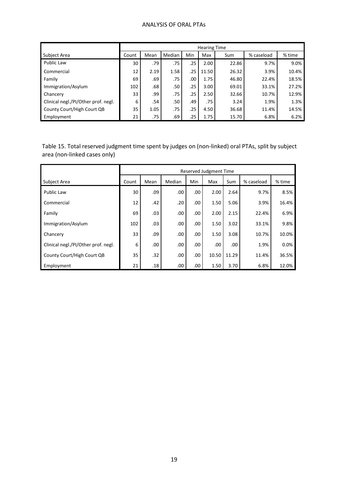### ANALYSIS OF ORAL PTAs

|                                     |       |      |        |     | <b>Hearing Time</b> |       |            |        |
|-------------------------------------|-------|------|--------|-----|---------------------|-------|------------|--------|
| Subject Area                        | Count | Mean | Median | Min | Max                 | Sum   | % caseload | % time |
| Public Law                          | 30    | .79  | .75    | .25 | 2.00                | 22.86 | 9.7%       | 9.0%   |
| Commercial                          | 12    | 2.19 | 1.58   | .25 | 11.50               | 26.32 | 3.9%       | 10.4%  |
| Family                              | 69    | .69  | .75    | .00 | 1.75                | 46.80 | 22.4%      | 18.5%  |
| Immigration/Asylum                  | 102   | .68  | .50    | .25 | 3.00                | 69.01 | 33.1%      | 27.2%  |
| Chancery                            | 33    | .99  | .75    | .25 | 2.50                | 32.66 | 10.7%      | 12.9%  |
| Clinical negl./PI/Other prof. negl. | 6     | .54  | .50    | .49 | .75                 | 3.24  | 1.9%       | 1.3%   |
| County Court/High Court QB          | 35    | 1.05 | .75    | .25 | 4.50                | 36.68 | 11.4%      | 14.5%  |
| Employment                          | 21    | .75  | .69    | .25 | 1.75                | 15.70 | 6.8%       | 6.2%   |

Table 15. Total reserved judgment time spent by judges on (non-linked) oral PTAs, split by subject area (non-linked cases only)

|                                     |       |      |        |     | Reserved Judgment Time |       |            |        |
|-------------------------------------|-------|------|--------|-----|------------------------|-------|------------|--------|
| Subject Area                        | Count | Mean | Median | Min | Max                    | Sum   | % caseload | % time |
| Public Law                          | 30    | .09  | .00.   | .00 | 2.00                   | 2.64  | 9.7%       | 8.5%   |
| Commercial                          | 12    | .42  | .20    | .00 | 1.50                   | 5.06  | 3.9%       | 16.4%  |
| Family                              | 69    | .03  | .00    | .00 | 2.00                   | 2.15  | 22.4%      | 6.9%   |
| Immigration/Asylum                  | 102   | .03  | .00    | .00 | 1.50                   | 3.02  | 33.1%      | 9.8%   |
| Chancery                            | 33    | .09  | .00    | .00 | 1.50                   | 3.08  | 10.7%      | 10.0%  |
| Clinical negl./PI/Other prof. negl. | 6     | .00  | .00    | .00 | .00                    | .00   | 1.9%       | 0.0%   |
| County Court/High Court QB          | 35    | .32  | .00    | .00 | 10.50                  | 11.29 | 11.4%      | 36.5%  |
| Employment                          | 21    | .18  | .00    | .00 | 1.50                   | 3.70  | 6.8%       | 12.0%  |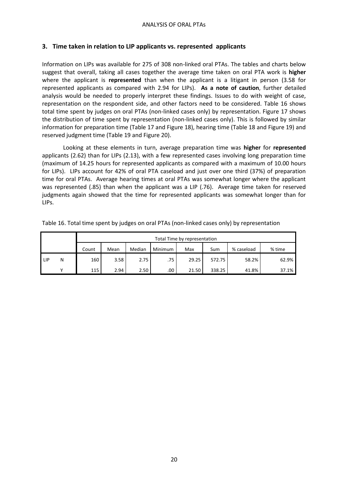### **3. Time taken in relation to LIP applicants vs. represented applicants**

Information on LIPs was available for 275 of 308 non-linked oral PTAs. The tables and charts below suggest that overall, taking all cases together the average time taken on oral PTA work is **higher** where the applicant is **represented** than when the applicant is a litigant in person (3.58 for represented applicants as compared with 2.94 for LIPs). **As a note of caution**, further detailed analysis would be needed to properly interpret these findings. Issues to do with weight of case, representation on the respondent side, and other factors need to be considered. Table 16 shows total time spent by judges on oral PTAs (non-linked cases only) by representation. Figure 17 shows the distribution of time spent by representation (non-linked cases only). This is followed by similar information for preparation time (Table 17 and Figure 18), hearing time (Table 18 and Figure 19) and reserved judgment time (Table 19 and Figure 20).

Looking at these elements in turn, average preparation time was **higher** for **represented** applicants (2.62) than for LIPs (2.13), with a few represented cases involving long preparation time (maximum of 14.25 hours for represented applicants as compared with a maximum of 10.00 hours for LIPs). LIPs account for 42% of oral PTA caseload and just over one third (37%) of preparation time for oral PTAs. Average hearing times at oral PTAs was somewhat longer where the applicant was represented (.85) than when the applicant was a LIP (.76). Average time taken for reserved judgments again showed that the time for represented applicants was somewhat longer than for LIPs.

|       |   |                                                                          | Total Time by representation |      |     |       |        |       |       |  |  |  |  |  |  |
|-------|---|--------------------------------------------------------------------------|------------------------------|------|-----|-------|--------|-------|-------|--|--|--|--|--|--|
|       |   | Median<br>Minimum<br>Sum<br>% caseload<br>% time<br>Mean<br>Count<br>Max |                              |      |     |       |        |       |       |  |  |  |  |  |  |
| I LIP | Ν | 160                                                                      | 3.58                         | 2.75 | .75 | 29.25 | 572.75 | 58.2% | 62.9% |  |  |  |  |  |  |
|       |   | 115                                                                      | 2.94                         | 2.50 | .00 | 21.50 | 338.25 | 41.8% | 37.1% |  |  |  |  |  |  |

Table 16. Total time spent by judges on oral PTAs (non-linked cases only) by representation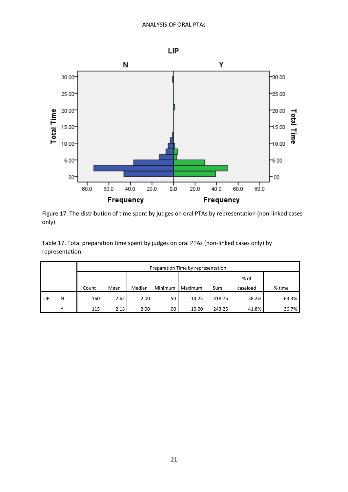

Figure 17. The distribution of time spent by judges on oral PTAs by representation (non-linked cases only)

Table 17. Total preparation time spent by judges on oral PTAs (non-linked cases only) by representation

|                 |   |       |      |        |         |         |        | Preparation Time by representation |        |  |  |  |  |  |  |  |  |  |  |  |
|-----------------|---|-------|------|--------|---------|---------|--------|------------------------------------|--------|--|--|--|--|--|--|--|--|--|--|--|
|                 |   |       |      |        |         |         |        | % of                               |        |  |  |  |  |  |  |  |  |  |  |  |
|                 |   | Count | Mean | Median | Minimum | Maximum | Sum    | caseload                           | % time |  |  |  |  |  |  |  |  |  |  |  |
| LIP <sup></sup> | N | 160   | 2.62 | 2.00   | .50     | 14.25   | 418.75 | 58.2%                              | 63.3%  |  |  |  |  |  |  |  |  |  |  |  |
|                 | v | 115   | 2.13 | 2.00   | .00     | 10.00   | 243.25 | 41.8%                              | 36.7%  |  |  |  |  |  |  |  |  |  |  |  |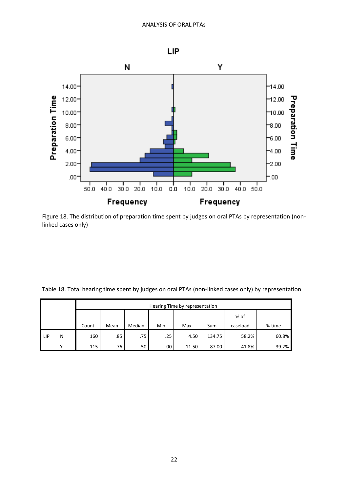

Figure 18. The distribution of preparation time spent by judges on oral PTAs by representation (nonlinked cases only)

Table 18. Total hearing time spent by judges on oral PTAs (non-linked cases only) by representation

|       |   |       | Hearing Time by representation                         |        |     |      |        |          |        |  |  |  |  |  |  |
|-------|---|-------|--------------------------------------------------------|--------|-----|------|--------|----------|--------|--|--|--|--|--|--|
|       |   |       | % of                                                   |        |     |      |        |          |        |  |  |  |  |  |  |
|       |   | Count | Mean                                                   | Median | Min | Max  | Sum    | caseload | % time |  |  |  |  |  |  |
| l LIP | N | 160   | .85                                                    | .75    | .25 | 4.50 | 134.75 | 58.2%    | 60.8%  |  |  |  |  |  |  |
|       | v | 115   | 39.2%<br>.76<br>.50<br>41.8%<br>.00.<br>87.00<br>11.50 |        |     |      |        |          |        |  |  |  |  |  |  |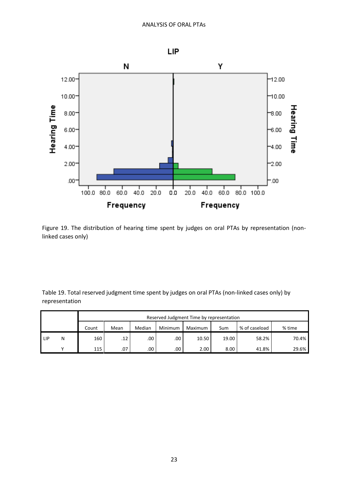

Figure 19. The distribution of hearing time spent by judges on oral PTAs by representation (nonlinked cases only)

Table 19. Total reserved judgment time spent by judges on oral PTAs (non-linked cases only) by representation

|                 |   |                                                                                 | Reserved Judgment Time by representation |             |         |       |       |       |       |  |  |  |  |  |  |
|-----------------|---|---------------------------------------------------------------------------------|------------------------------------------|-------------|---------|-------|-------|-------|-------|--|--|--|--|--|--|
|                 |   | % of caseload<br>Median<br>Minimum<br>% time<br>Mean<br>Maximum<br>Sum<br>Count |                                          |             |         |       |       |       |       |  |  |  |  |  |  |
| LIP <sup></sup> | Ν | 160                                                                             | .12                                      | $.00 \cdot$ | $.00\,$ | 10.50 | 19.00 | 58.2% | 70.4% |  |  |  |  |  |  |
|                 |   | 115                                                                             | .07                                      | $.00\,$     | .00     | 2.00  | 8.00  | 41.8% | 29.6% |  |  |  |  |  |  |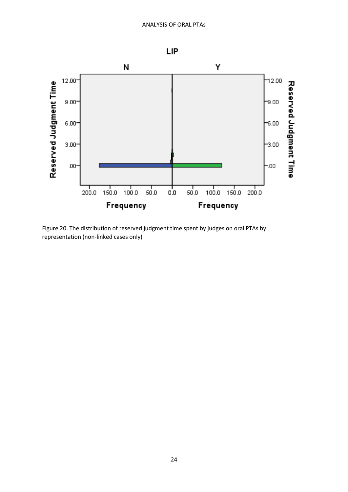

Figure 20. The distribution of reserved judgment time spent by judges on oral PTAs by representation (non-linked cases only)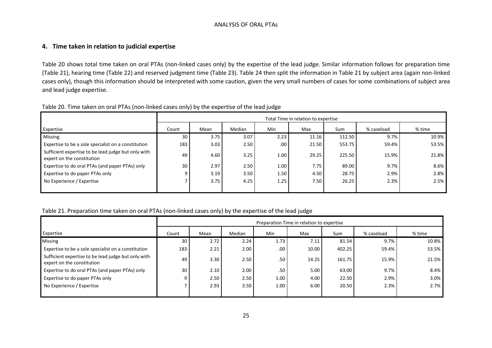#### ANALYSIS OF ORAL PTAs

#### **4. Time taken in relation to judicial expertise**

Table 20 shows total time taken on oral PTAs (non-linked cases only) by the expertise of the lead judge. Similar information follows for preparation time (Table 21), hearing time (Table 22) and reserved judgment time (Table 23). Table 24 then split the information in Table 21 by subject area (again non-linked cases only), though this information should be interpreted with some caution, given the very small numbers of cases for some combinations of subject area and lead judge expertise.

|                                                                                   |       |      |        |      | Total Time in relation to expertise |        |            |        |
|-----------------------------------------------------------------------------------|-------|------|--------|------|-------------------------------------|--------|------------|--------|
| Expertise                                                                         | Count | Mean | Median | Min  | Max                                 | Sum    | % caseload | % time |
| Missing                                                                           | 30    | 3.75 | 3.07   | 2.23 | 11.16                               | 112.50 | 9.7%       | 10.9%  |
| Expertise to be a sole specialist on a constitution                               | 183   | 3.03 | 2.50   | .00. | 21.50                               | 553.75 | 59.4%      | 53.5%  |
| Sufficient expertise to be lead judge but only with<br>expert on the constitution | 49    | 4.60 | 3.25   | 1.00 | 29.25                               | 225.50 | 15.9%      | 21.8%  |
| Expertise to do oral PTAs (and paper PTAs) only                                   | 30    | 2.97 | 2.50   | 1.00 | 7.75                                | 89.00  | 9.7%       | 8.6%   |
| Expertise to do paper PTAs only                                                   |       | 3.19 | 3.50   | 1.50 | 4.50                                | 28.75  | 2.9%       | 2.8%   |
| No Experience / Expertise                                                         |       | 3.75 | 4.25   | 1.25 | 7.50                                | 26.25  | 2.3%       | 2.5%   |
|                                                                                   |       |      |        |      |                                     |        |            |        |

#### Table 20. Time taken on oral PTAs (non-linked cases only) by the expertise of the lead judge

#### Table 21. Preparation time taken on oral PTAs (non-linked cases only) by the expertise of the lead judge

|                                                                                   |       |      |        |      | Preparation Time in relation to expertise |        |            |        |
|-----------------------------------------------------------------------------------|-------|------|--------|------|-------------------------------------------|--------|------------|--------|
| Expertise                                                                         | Count | Mean | Median | Min  | Max                                       | Sum    | % caseload | % time |
| <b>Missing</b>                                                                    | 30    | 2.72 | 2.24   | 1.73 | 7.11                                      | 81.54  | 9.7%       | 10.8%  |
| Expertise to be a sole specialist on a constitution                               | 183   | 2.21 | 2.00   | .00  | 10.00                                     | 402.25 | 59.4%      | 53.5%  |
| Sufficient expertise to be lead judge but only with<br>expert on the constitution | 49    | 3.30 | 2.50   | .50  | 14.25                                     | 161.75 | 15.9%      | 21.5%  |
| Expertise to do oral PTAs (and paper PTAs) only                                   | 30    | 2.10 | 2.00   | .50  | 5.00                                      | 63.00  | 9.7%       | 8.4%   |
| Expertise to do paper PTAs only                                                   |       | 2.50 | 2.50   | 1.00 | 4.00                                      | 22.50  | 2.9%       | 3.0%   |
| No Experience / Expertise                                                         |       | 2.93 | 3.50   | 1.00 | 6.00                                      | 20.50  | 2.3%       | 2.7%   |
|                                                                                   |       |      |        |      |                                           |        |            |        |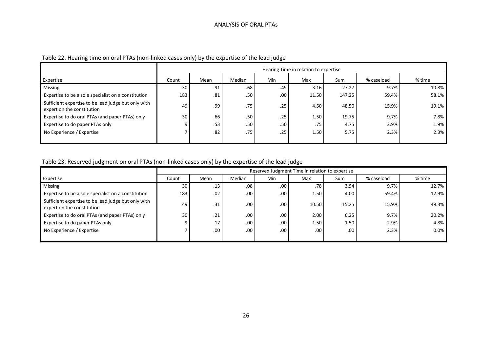|                                                                                   |       |                                                   |     |      | Hearing Time in relation to expertise |        |       |       |  |  |  |  |  |
|-----------------------------------------------------------------------------------|-------|---------------------------------------------------|-----|------|---------------------------------------|--------|-------|-------|--|--|--|--|--|
| Expertise                                                                         | Count | Min<br>Median<br>Max<br>Sum<br>% caseload<br>Mean |     |      |                                       |        |       |       |  |  |  |  |  |
| Missing                                                                           | 30    | .91                                               | .68 | .49  | 3.16                                  | 27.27  | 9.7%  | 10.8% |  |  |  |  |  |
| Expertise to be a sole specialist on a constitution                               | 183   | .81                                               | .50 | .00. | 11.50                                 | 147.25 | 59.4% | 58.1% |  |  |  |  |  |
| Sufficient expertise to be lead judge but only with<br>expert on the constitution | 49    | .99                                               | .75 | .25  | 4.50                                  | 48.50  | 15.9% | 19.1% |  |  |  |  |  |
| Expertise to do oral PTAs (and paper PTAs) only                                   | 30    | .66                                               | .50 | .25  | 1.50                                  | 19.75  | 9.7%  | 7.8%  |  |  |  |  |  |
| Expertise to do paper PTAs only                                                   | q     | .53                                               | .50 | .50  | .75                                   | 4.75   | 2.9%  | 1.9%  |  |  |  |  |  |
| No Experience / Expertise                                                         |       | .82                                               | .75 | .25  | 1.50                                  | 5.75   | 2.3%  | 2.3%  |  |  |  |  |  |
|                                                                                   |       |                                                   |     |      |                                       |        |       |       |  |  |  |  |  |

# Table 23. Reserved judgment on oral PTAs (non-linked cases only) by the expertise of the lead judge

|                                                                                   |       | Reserved Judgment Time in relation to expertise |                  |      |       |       |            |         |  |  |  |  |  |
|-----------------------------------------------------------------------------------|-------|-------------------------------------------------|------------------|------|-------|-------|------------|---------|--|--|--|--|--|
| Expertise                                                                         | Count | Mean                                            | Median           | Min  | Max   | Sum   | % caseload | % time  |  |  |  |  |  |
| Missing                                                                           | 30    | .13                                             | .08 <sub>1</sub> | .00. | .78   | 3.94  | 9.7%       | 12.7%   |  |  |  |  |  |
| Expertise to be a sole specialist on a constitution                               | 183   | .02                                             | .00.             | .00  | 1.50  | 4.00  | 59.4%      | 12.9%   |  |  |  |  |  |
| Sufficient expertise to be lead judge but only with<br>expert on the constitution | 49    | .31                                             | .00              | .00. | 10.50 | 15.25 | 15.9%      | 49.3%   |  |  |  |  |  |
| Expertise to do oral PTAs (and paper PTAs) only                                   | 30    | .21                                             | .00.             | .00. | 2.00  | 6.25  | 9.7%       | 20.2%   |  |  |  |  |  |
| Expertise to do paper PTAs only                                                   |       | .17                                             | .00.             | .00. | 1.50  | 1.50  | 2.9%       | 4.8%    |  |  |  |  |  |
| No Experience / Expertise                                                         |       | .00.                                            | .00.             | .00  | .00.  | .00.  | 2.3%       | $0.0\%$ |  |  |  |  |  |
|                                                                                   |       |                                                 |                  |      |       |       |            |         |  |  |  |  |  |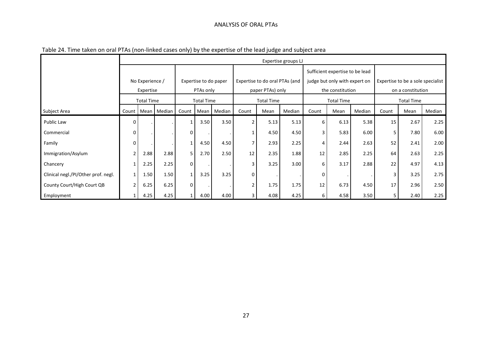#### ANALYSIS OF ORAL PTAs

|                                     |               |                   |                       |                       |                   |             |                   |                                | Expertise groups LJ             |       |                               |        |                                   |                   |        |
|-------------------------------------|---------------|-------------------|-----------------------|-----------------------|-------------------|-------------|-------------------|--------------------------------|---------------------------------|-------|-------------------------------|--------|-----------------------------------|-------------------|--------|
|                                     |               |                   |                       |                       |                   |             |                   |                                | Sufficient expertise to be lead |       |                               |        |                                   |                   |        |
|                                     |               | No Experience /   |                       | Expertise to do paper |                   |             |                   | Expertise to do oral PTAs (and |                                 |       | judge but only with expert on |        | Expertise to be a sole specialist |                   |        |
|                                     |               | Expertise         |                       | PTAs only             |                   |             |                   | paper PTAs) only               |                                 |       | the constitution              |        |                                   | on a constitution |        |
|                                     |               | <b>Total Time</b> |                       |                       | <b>Total Time</b> |             | <b>Total Time</b> |                                |                                 |       | <b>Total Time</b>             |        |                                   | <b>Total Time</b> |        |
| Subject Area                        |               |                   | Count   Mean   Median | Count                 |                   | Mean Median | Count             | Mean                           | Median                          | Count | Mean                          | Median | Count                             | Mean              | Median |
| Public Law                          | $\Omega$      |                   |                       |                       | 3.50              | 3.50        |                   | 5.13                           | 5.13                            | 6     | 6.13                          | 5.38   | 15                                | 2.67              | 2.25   |
| Commercial                          | $\mathbf 0$   |                   |                       | 0                     |                   |             |                   | 4.50                           | 4.50                            | 3     | 5.83                          | 6.00   | 5                                 | 7.80              | 6.00   |
| Family                              | 0             |                   |                       |                       | 4.50              | 4.50        |                   | 2.93                           | 2.25                            | 4     | 2.44                          | 2.63   | 52                                | 2.41              | 2.00   |
| Immigration/Asylum                  |               | 2.88              | 2.88                  | 5.                    | 2.70              | 2.50        | 12                | 2.35                           | 1.88                            | 12    | 2.85                          | 2.25   | 64                                | 2.63              | 2.25   |
| Chancery                            | $\mathbf{1}$  | 2.25              | 2.25                  | 0                     |                   |             | 3                 | 3.25                           | 3.00                            | 6     | 3.17                          | 2.88   | 22                                | 4.97              | 4.13   |
| Clinical negl./PI/Other prof. negl. | $\mathbf{1}$  | 1.50              | 1.50                  | 1                     | 3.25              | 3.25        | $\mathbf 0$       |                                |                                 | 0     |                               |        | 3                                 | 3.25              | 2.75   |
| County Court/High Court QB          | $\mathcal{P}$ | 6.25              | 6.25                  | $\Omega$              |                   |             | $\mathcal{P}$     | 1.75                           | 1.75                            | 12    | 6.73                          | 4.50   | 17                                | 2.96              | 2.50   |
| Employment                          |               | 4.25              | 4.25                  |                       | 4.00              | 4.00        | 3                 | 4.08                           | 4.25                            | 6     | 4.58                          | 3.50   |                                   | 2.40              | 2.25   |

### Table 24. Time taken on oral PTAs (non-linked cases only) by the expertise of the lead judge and subject area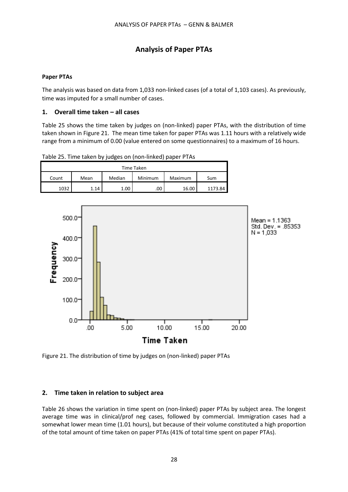# **Analysis of Paper PTAs**

### **Paper PTAs**

The analysis was based on data from 1,033 non-linked cases (of a total of 1,103 cases). As previously, time was imputed for a small number of cases.

### **1. Overall time taken – all cases**

Table 25 shows the time taken by judges on (non-linked) paper PTAs, with the distribution of time taken shown in Figure 21. The mean time taken for paper PTAs was 1.11 hours with a relatively wide range from a minimum of 0.00 (value entered on some questionnaires) to a maximum of 16 hours.

| Time Taken |      |        |         |         |         |  |  |  |  |  |  |  |  |
|------------|------|--------|---------|---------|---------|--|--|--|--|--|--|--|--|
| Count      | Mean | Median | Minimum | Maximum | Sum     |  |  |  |  |  |  |  |  |
| 1032       | 1.14 | 1.00   | .00     | 16.00   | 1173.84 |  |  |  |  |  |  |  |  |

Table 25. Time taken by judges on (non-linked) paper PTAs



Figure 21. The distribution of time by judges on (non-linked) paper PTAs

### **2. Time taken in relation to subject area**

Table 26 shows the variation in time spent on (non-linked) paper PTAs by subject area. The longest average time was in clinical/prof neg cases, followed by commercial. Immigration cases had a somewhat lower mean time (1.01 hours), but because of their volume constituted a high proportion of the total amount of time taken on paper PTAs (41% of total time spent on paper PTAs).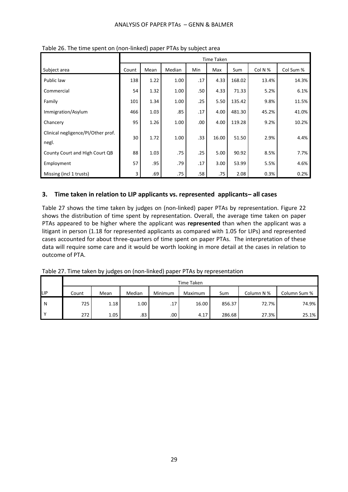|                                             |       | Time Taken |        |      |       |        |         |           |  |  |  |  |  |  |  |
|---------------------------------------------|-------|------------|--------|------|-------|--------|---------|-----------|--|--|--|--|--|--|--|
| Subject area                                | Count | Mean       | Median | Min  | Max   | Sum    | Col N % | Col Sum % |  |  |  |  |  |  |  |
| Public law                                  | 138   | 1.22       | 1.00   | .17  | 4.33  | 168.02 | 13.4%   | 14.3%     |  |  |  |  |  |  |  |
| Commercial                                  | 54    | 1.32       | 1.00   | .50  | 4.33  | 71.33  | 5.2%    | 6.1%      |  |  |  |  |  |  |  |
| Family                                      | 101   | 1.34       | 1.00   | .25  | 5.50  | 135.42 | 9.8%    | 11.5%     |  |  |  |  |  |  |  |
| Immigration/Asylum                          | 466   | 1.03       | .85    | .17  | 4.00  | 481.30 | 45.2%   | 41.0%     |  |  |  |  |  |  |  |
| Chancery                                    | 95    | 1.26       | 1.00   | .00. | 4.00  | 119.28 | 9.2%    | 10.2%     |  |  |  |  |  |  |  |
| Clinical negligence/PI/Other prof.<br>negl. | 30    | 1.72       | 1.00   | .33  | 16.00 | 51.50  | 2.9%    | 4.4%      |  |  |  |  |  |  |  |
| County Court and High Court QB              | 88    | 1.03       | .75    | .25  | 5.00  | 90.92  | 8.5%    | 7.7%      |  |  |  |  |  |  |  |
| Employment                                  | 57    | .95        | .79    | .17  | 3.00  | 53.99  | 5.5%    | 4.6%      |  |  |  |  |  |  |  |
| Missing (incl 1 trusts)                     | 3     | .69        | .75    | .58  | .75   | 2.08   | 0.3%    | 0.2%      |  |  |  |  |  |  |  |

Table 26. The time spent on (non-linked) paper PTAs by subject area

### **3. Time taken in relation to LIP applicants vs. represented applicants– all cases**

Table 27 shows the time taken by judges on (non-linked) paper PTAs by representation. Figure 22 shows the distribution of time spent by representation. Overall, the average time taken on paper PTAs appeared to be higher where the applicant was **represented** than when the applicant was a litigant in person (1.18 for represented applicants as compared with 1.05 for LIPs) and represented cases accounted for about three-quarters of time spent on paper PTAs. The interpretation of these data will require some care and it would be worth looking in more detail at the cases in relation to outcome of PTA.

|            |       | Time Taken |        |                  |         |        |            |              |  |  |  |  |  |  |  |  |
|------------|-------|------------|--------|------------------|---------|--------|------------|--------------|--|--|--|--|--|--|--|--|
| <b>LIP</b> | Count | Mean       | Median | Minimum          | Maximum | Sum    | Column N % | Column Sum % |  |  |  |  |  |  |  |  |
| l N        | 725   | 1.18       | 1.00   | .17 <sup>2</sup> | 16.00   | 856.37 | 72.7%      | 74.9%        |  |  |  |  |  |  |  |  |
| v          | 272   | 1.05       | .83    | $.00 \cdot$      | 4.17    | 286.68 | 27.3%      | 25.1%        |  |  |  |  |  |  |  |  |

Table 27. Time taken by judges on (non-linked) paper PTAs by representation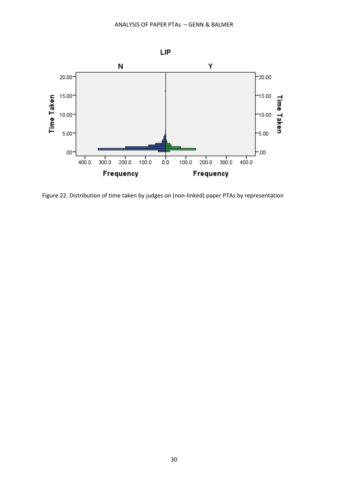

Figure 22. Distribution of time taken by judges on (non-linked) paper PTAs by representation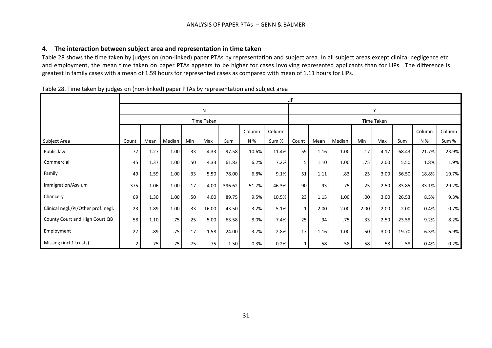### **4. The interaction between subject area and representation in time taken**

Table 28 shows the time taken by judges on (non-linked) paper PTAs by representation and subject area. In all subject areas except clinical negligence etc. and employment, the mean time taken on paper PTAs appears to be higher for cases involving represented applicants than for LIPs. The difference is greatest in family cases with a mean of 1.59 hours for represented cases as compared with mean of 1.11 hours for LIPs.

| , , .<br>ັບ                         |       |      | 7 F 7 F |                  |            |        |        | - ر    | LIP          |      |        |                  |      |       |        |        |
|-------------------------------------|-------|------|---------|------------------|------------|--------|--------|--------|--------------|------|--------|------------------|------|-------|--------|--------|
|                                     |       |      |         |                  | N          |        |        | ٧      |              |      |        |                  |      |       |        |        |
|                                     |       |      |         |                  | Time Taken |        |        |        |              |      |        | Time Taken       |      |       |        |        |
|                                     |       |      |         |                  |            |        | Column | Column |              |      |        |                  |      |       | Column | Column |
| Subject Area                        | Count | Mean | Median  | Min              | Max        | Sum    | N %    | Sum %  | Count        | Mean | Median | Min              | Max  | Sum   | N %    | Sum %  |
| Public law                          | 77    | 1.27 | 1.00    | .33 <sub>0</sub> | 4.33       | 97.58  | 10.6%  | 11.4%  | 59           | 1.16 | 1.00   | .17              | 4.17 | 68.43 | 21.7%  | 23.9%  |
| Commercial                          | 45    | 1.37 | 1.00    | .50              | 4.33       | 61.83  | 6.2%   | 7.2%   | 5            | 1.10 | 1.00   | .75              | 2.00 | 5.50  | 1.8%   | 1.9%   |
| Family                              | 49    | 1.59 | 1.00    | .33 <sub>0</sub> | 5.50       | 78.00  | 6.8%   | 9.1%   | 51           | 1.11 | .83    | .25              | 3.00 | 56.50 | 18.8%  | 19.7%  |
| Immigration/Asylum                  | 375   | 1.06 | 1.00    | .17              | 4.00       | 396.62 | 51.7%  | 46.3%  | 90           | .93  | .75    | .25              | 2.50 | 83.85 | 33.1%  | 29.2%  |
| Chancery                            | 69    | 1.30 | 1.00    | .50              | 4.00       | 89.75  | 9.5%   | 10.5%  | 23           | 1.15 | 1.00   | .00.             | 3.00 | 26.53 | 8.5%   | 9.3%   |
| Clinical negl./PI/Other prof. negl. | 23    | 1.89 | 1.00    | .33 <sub>0</sub> | 16.00      | 43.50  | 3.2%   | 5.1%   | $\mathbf{1}$ | 2.00 | 2.00   | 2.00             | 2.00 | 2.00  | 0.4%   | 0.7%   |
| County Court and High Court QB      | 58    | 1.10 | .75     | .25              | 5.00       | 63.58  | 8.0%   | 7.4%   | 25           | .94  | .75    | .33              | 2.50 | 23.58 | 9.2%   | 8.2%   |
| Employment                          | 27    | .89  | .75     | .17              | 1.58       | 24.00  | 3.7%   | 2.8%   | 17           | 1.16 | 1.00   | .50 <sub>1</sub> | 3.00 | 19.70 | 6.3%   | 6.9%   |
| Missing (incl 1 trusts)             | 2     | .75  | .75     | .75              | .75        | 1.50   | 0.3%   | 0.2%   |              | .58  | .58    | .58              | .58  | .58   | 0.4%   | 0.2%   |

Table 28. Time taken by judges on (non-linked) paper PTAs by representation and subject area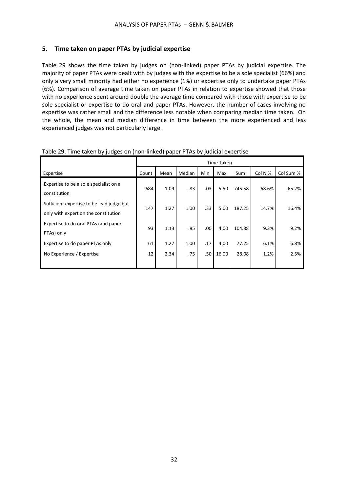### **5. Time taken on paper PTAs by judicial expertise**

Table 29 shows the time taken by judges on (non-linked) paper PTAs by judicial expertise. The majority of paper PTAs were dealt with by judges with the expertise to be a sole specialist (66%) and only a very small minority had either no experience (1%) or expertise only to undertake paper PTAs (6%). Comparison of average time taken on paper PTAs in relation to expertise showed that those with no experience spent around double the average time compared with those with expertise to be sole specialist or expertise to do oral and paper PTAs. However, the number of cases involving no expertise was rather small and the difference less notable when comparing median time taken. On the whole, the mean and median difference in time between the more experienced and less experienced judges was not particularly large.

|                                                                                   |       |      |        |     | Time Taken |        |         |           |
|-----------------------------------------------------------------------------------|-------|------|--------|-----|------------|--------|---------|-----------|
| Expertise                                                                         | Count | Mean | Median | Min | Max        | Sum    | Col N % | Col Sum % |
| Expertise to be a sole specialist on a<br>constitution                            | 684   | 1.09 | .83    | .03 | 5.50       | 745.58 | 68.6%   | 65.2%     |
| Sufficient expertise to be lead judge but<br>only with expert on the constitution | 147   | 1.27 | 1.00   | .33 | 5.00       | 187.25 | 14.7%   | 16.4%     |
| Expertise to do oral PTAs (and paper<br>PTAs) only                                | 93    | 1.13 | .85    | .00 | 4.00       | 104.88 | 9.3%    | 9.2%      |
| Expertise to do paper PTAs only                                                   | 61    | 1.27 | 1.00   | .17 | 4.00       | 77.25  | 6.1%    | 6.8%      |
| No Experience / Expertise                                                         | 12    | 2.34 | .75    | .50 | 16.00      | 28.08  | 1.2%    | 2.5%      |

Table 29. Time taken by judges on (non-linked) paper PTAs by judicial expertise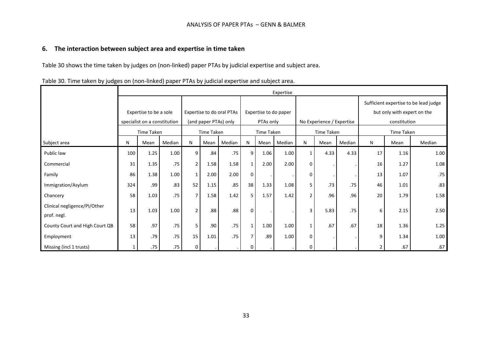### **6. The interaction between subject area and expertise in time taken**

Table 30 shows the time taken by judges on (non-linked) paper PTAs by judicial expertise and subject area.

|                                |     | Expertise                    |        |                |                       |                           |                       |            |        |                |                           |        |                             |              |                                       |  |
|--------------------------------|-----|------------------------------|--------|----------------|-----------------------|---------------------------|-----------------------|------------|--------|----------------|---------------------------|--------|-----------------------------|--------------|---------------------------------------|--|
|                                |     |                              |        |                |                       |                           |                       |            |        |                |                           |        |                             |              | Sufficient expertise to be lead judge |  |
|                                |     | Expertise to be a sole       |        |                |                       | Expertise to do oral PTAs | Expertise to do paper |            |        |                |                           |        | but only with expert on the |              |                                       |  |
|                                |     | specialist on a constitution |        |                | (and paper PTAs) only |                           |                       | PTAs only  |        |                | No Experience / Expertise |        |                             | constitution |                                       |  |
|                                |     | Time Taken                   |        |                | Time Taken            |                           |                       | Time Taken |        |                | Time Taken                |        |                             | Time Taken   |                                       |  |
| Subject area                   | N   | Mean                         | Median | N              | Mean                  | Median                    | N                     | Mean       | Median | N              | Mean                      | Median | N                           | Mean         | Median                                |  |
| Public law                     | 100 | 1.25                         | 1.00   | 9              | .84                   | .75                       | 9                     | 1.06       | 1.00   | $\mathbf{1}$   | 4.33                      | 4.33   | 17                          | 1.16         | 1.00                                  |  |
| Commercial                     | 31  | 1.35                         | .75    | $\overline{2}$ | 1.58                  | 1.58                      | $\mathbf{1}$          | 2.00       | 2.00   | $\Omega$       |                           |        | 16                          | 1.27         | 1.08                                  |  |
| Family                         | 86  | 1.38                         | 1.00   | $\mathbf{1}$   | 2.00                  | 2.00                      | $\mathbf{0}$          |            |        | 0              |                           |        | 13                          | 1.07         | .75                                   |  |
| Immigration/Asylum             | 324 | .99                          | .83    | 52             | 1.15                  | .85                       | 38                    | 1.33       | 1.08   | 5              | .73                       | .75    | 46                          | 1.01         | .83                                   |  |
| Chancery                       | 58  | 1.03                         | .75    | $\overline{7}$ | 1.58                  | 1.42                      | 5 <sub>1</sub>        | 1.57       | 1.42   | $\overline{2}$ | .96                       | .96    | 20                          | 1.79         | 1.58                                  |  |
| Clinical negligence/PI/Other   | 13  | 1.03                         | 1.00   | $\overline{2}$ | .88                   | .88                       | $\Omega$              |            |        | 3              | 5.83                      | .75    | 6                           | 2.15         | 2.50                                  |  |
| prof. negl.                    |     |                              |        |                |                       |                           |                       |            |        |                |                           |        |                             |              |                                       |  |
| County Court and High Court QB | 58  | .97                          | .75    | 5              | .90                   | .75                       | $\mathbf{1}$          | 1.00       | 1.00   | $\mathbf{1}$   | .67                       | .67    | 18                          | 1.36         | 1.25                                  |  |
| Employment                     | 13  | .79                          | .75    | 15             | 1.01                  | .75                       |                       | .89        | 1.00   | 0              |                           |        | 9                           | 1.34         | 1.00                                  |  |
| Missing (incl 1 trusts)        | 1   | .75                          | .75    | 0              |                       |                           | n                     |            |        | <sup>0</sup>   |                           |        | 2                           | .67          | .67                                   |  |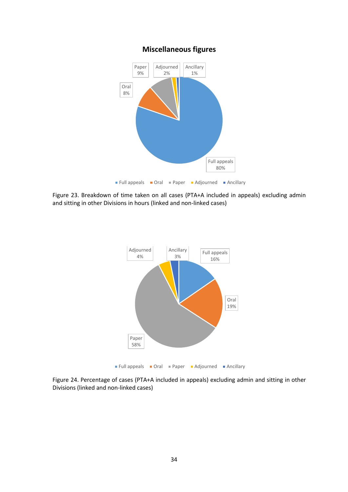



Figure 23. Breakdown of time taken on all cases (PTA+A included in appeals) excluding admin and sitting in other Divisions in hours (linked and non-linked cases)



Figure 24. Percentage of cases (PTA+A included in appeals) excluding admin and sitting in other Divisions (linked and non-linked cases)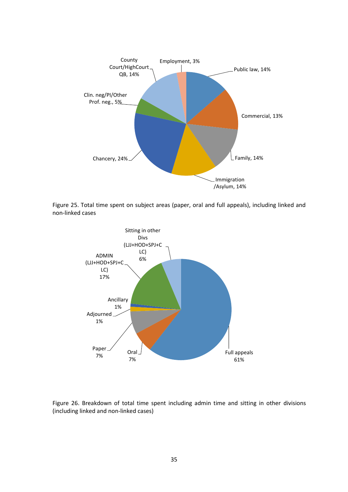

Figure 25. Total time spent on subject areas (paper, oral and full appeals), including linked and non-linked cases



Figure 26. Breakdown of total time spent including admin time and sitting in other divisions (including linked and non-linked cases)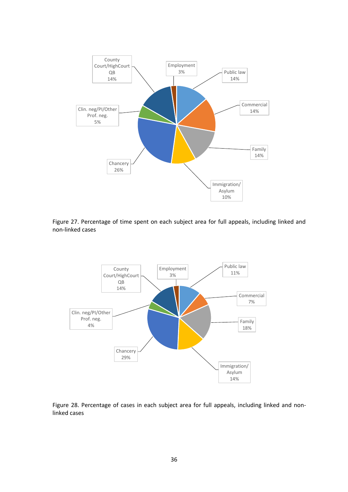

Figure 27. Percentage of time spent on each subject area for full appeals, including linked and non-linked cases



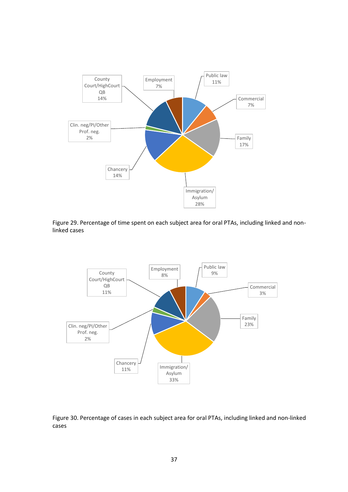

Figure 29. Percentage of time spent on each subject area for oral PTAs, including linked and nonlinked cases



Figure 30. Percentage of cases in each subject area for oral PTAs, including linked and non-linked cases